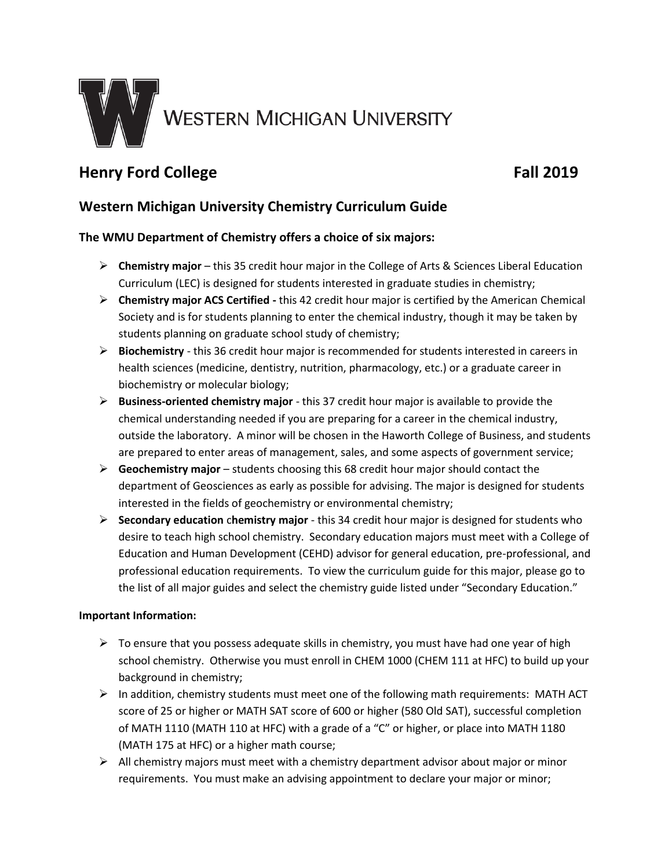

# **Henry Ford College Fall 2019**

## **Western Michigan University Chemistry Curriculum Guide**

### **The WMU Department of Chemistry offers a choice of six majors:**

- **Chemistry major** this 35 credit hour major in the College of Arts & Sciences Liberal Education Curriculum (LEC) is designed for students interested in graduate studies in chemistry;
- **Chemistry major ACS Certified -** this 42 credit hour major is certified by the American Chemical Society and is for students planning to enter the chemical industry, though it may be taken by students planning on graduate school study of chemistry;
- **Biochemistry** this 36 credit hour major is recommended for students interested in careers in health sciences (medicine, dentistry, nutrition, pharmacology, etc.) or a graduate career in biochemistry or molecular biology;
- **Business-oriented chemistry major** this 37 credit hour major is available to provide the chemical understanding needed if you are preparing for a career in the chemical industry, outside the laboratory. A minor will be chosen in the Haworth College of Business, and students are prepared to enter areas of management, sales, and some aspects of government service;
- **Geochemistry major**  students choosing this 68 credit hour major should contact the department of Geosciences as early as possible for advising. The major is designed for students interested in the fields of geochemistry or environmental chemistry;
- **Secondary education** c**hemistry major** this 34 credit hour major is designed for students who desire to teach high school chemistry. Secondary education majors must meet with a College of Education and Human Development (CEHD) advisor for general education, pre-professional, and professional education requirements. To view the curriculum guide for this major, please go to the list of all major guides and select the chemistry guide listed under "Secondary Education."

#### **Important Information:**

- $\triangleright$  To ensure that you possess adequate skills in chemistry, you must have had one year of high school chemistry. Otherwise you must enroll in CHEM 1000 (CHEM 111 at HFC) to build up your background in chemistry;
- $\triangleright$  In addition, chemistry students must meet one of the following math requirements: MATH ACT score of 25 or higher or MATH SAT score of 600 or higher (580 Old SAT), successful completion of MATH 1110 (MATH 110 at HFC) with a grade of a "C" or higher, or place into MATH 1180 (MATH 175 at HFC) or a higher math course;
- $\triangleright$  All chemistry majors must meet with a chemistry department advisor about major or minor requirements. You must make an advising appointment to declare your major or minor;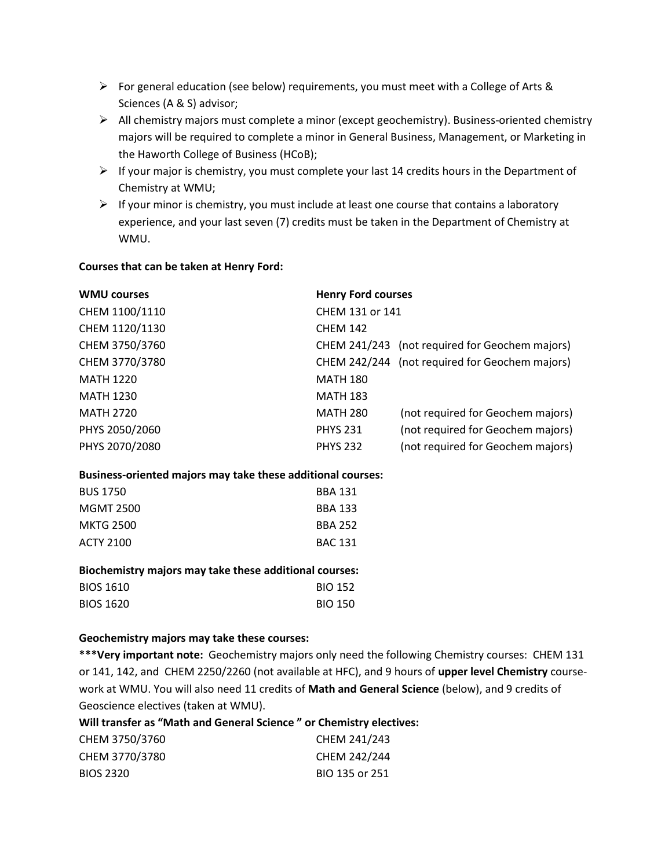- For general education (see below) requirements, you must meet with a College of Arts & Sciences (A & S) advisor;
- $\triangleright$  All chemistry majors must complete a minor (except geochemistry). Business-oriented chemistry majors will be required to complete a minor in General Business, Management, or Marketing in the Haworth College of Business (HCoB);
- $\triangleright$  If your major is chemistry, you must complete your last 14 credits hours in the Department of Chemistry at WMU;
- $\triangleright$  If your minor is chemistry, you must include at least one course that contains a laboratory experience, and your last seven (7) credits must be taken in the Department of Chemistry at WMU.

#### **Courses that can be taken at Henry Ford:**

| <b>WMU courses</b> | <b>Henry Ford courses</b> |                                                |
|--------------------|---------------------------|------------------------------------------------|
| CHEM 1100/1110     | CHEM 131 or 141           |                                                |
| CHEM 1120/1130     | <b>CHEM 142</b>           |                                                |
| CHEM 3750/3760     |                           | CHEM 241/243 (not required for Geochem majors) |
| CHEM 3770/3780     |                           | CHEM 242/244 (not required for Geochem majors) |
| <b>MATH 1220</b>   | <b>MATH 180</b>           |                                                |
| <b>MATH 1230</b>   | <b>MATH 183</b>           |                                                |
| <b>MATH 2720</b>   | <b>MATH 280</b>           | (not required for Geochem majors)              |
| PHYS 2050/2060     | <b>PHYS 231</b>           | (not required for Geochem majors)              |
| PHYS 2070/2080     | <b>PHYS 232</b>           | (not required for Geochem majors)              |

#### **Business-oriented majors may take these additional courses:**

| <b>BBA 131</b> |
|----------------|
| <b>BBA 133</b> |
| <b>BBA 252</b> |
| <b>BAC 131</b> |
|                |

#### **Biochemistry majors may take these additional courses:**

| <b>BIOS 1610</b> | <b>BIO 152</b> |
|------------------|----------------|
| <b>BIOS 1620</b> | <b>BIO 150</b> |

#### **Geochemistry majors may take these courses:**

**\*\*\*Very important note:** Geochemistry majors only need the following Chemistry courses: CHEM 131 or 141, 142, and CHEM 2250/2260 (not available at HFC), and 9 hours of **upper level Chemistry** coursework at WMU. You will also need 11 credits of **Math and General Science** (below), and 9 credits of Geoscience electives (taken at WMU).

| Will transfer as "Math and General Science" or Chemistry electives: |                |
|---------------------------------------------------------------------|----------------|
| CHEM 3750/3760                                                      | CHEM 241/243   |
| CHEM 3770/3780                                                      | CHEM 242/244   |
| <b>BIOS 2320</b>                                                    | BIO 135 or 251 |